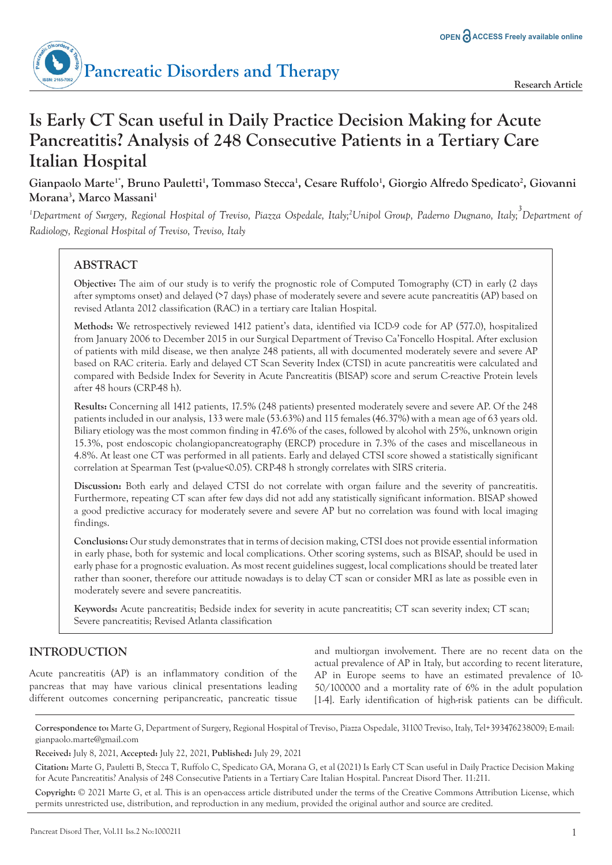

# **Is Early CT Scan useful in Daily Practice Decision Making for Acute Pancreatitis? Analysis of 248 Consecutive Patients in a Tertiary Care Italian Hospital**

**Gianpaolo Marte1\*, Bruno Pauletti<sup>1</sup> , Tommaso Stecca<sup>1</sup> , Cesare Ruffolo<sup>1</sup> , Giorgio Alfredo Spedicato<sup>2</sup> , Giovanni Morana<sup>3</sup> , Marco Massani<sup>1</sup>**

*<sup>1</sup>Department of Surgery, Regional Hospital of Treviso, Piazza Ospedale, Italy;<sup>2</sup>Unipol Group, Paderno Dugnano, Italy;<sup>3</sup> Department of Radiology, Regional Hospital of Treviso, Treviso, Italy*

# **ABSTRACT**

**Objective:** The aim of our study is to verify the prognostic role of Computed Tomography (CT) in early (2 days after symptoms onset) and delayed (>7 days) phase of moderately severe and severe acute pancreatitis (AP) based on revised Atlanta 2012 classification (RAC) in a tertiary care Italian Hospital.

**Methods:** We retrospectively reviewed 1412 patient's data, identified via ICD-9 code for AP (577.0), hospitalized from January 2006 to December 2015 in our Surgical Department of Treviso Ca'Foncello Hospital. After exclusion of patients with mild disease, we then analyze 248 patients, all with documented moderately severe and severe AP based on RAC criteria. Early and delayed CT Scan Severity Index (CTSI) in acute pancreatitis were calculated and compared with Bedside Index for Severity in Acute Pancreatitis (BISAP) score and serum C-reactive Protein levels after 48 hours (CRP-48 h).

**Results:** Concerning all 1412 patients, 17.5% (248 patients) presented moderately severe and severe AP. Of the 248 patients included in our analysis, 133 were male (53.63%) and 115 females (46.37%) with a mean age of 63 years old. Biliary etiology was the most common finding in 47.6% of the cases, followed by alcohol with 25%, unknown origin 15.3%, post endoscopic cholangiopancreatography (ERCP) procedure in 7.3% of the cases and miscellaneous in 4.8%. At least one CT was performed in all patients. Early and delayed CTSI score showed a statistically significant correlation at Spearman Test (p-value<0.05). CRP-48 h strongly correlates with SIRS criteria.

**Discussion:** Both early and delayed CTSI do not correlate with organ failure and the severity of pancreatitis. Furthermore, repeating CT scan after few days did not add any statistically significant information. BISAP showed a good predictive accuracy for moderately severe and severe AP but no correlation was found with local imaging findings.

**Conclusions:** Our study demonstrates that in terms of decision making, CTSI does not provide essential information in early phase, both for systemic and local complications. Other scoring systems, such as BISAP, should be used in early phase for a prognostic evaluation. As most recent guidelines suggest, local complications should be treated later rather than sooner, therefore our attitude nowadays is to delay CT scan or consider MRI as late as possible even in moderately severe and severe pancreatitis.

**Keywords:** Acute pancreatitis; Bedside index for severity in acute pancreatitis; CT scan severity index; CT scan; Severe pancreatitis; Revised Atlanta classification

# **INTRODUCTION**

Acute pancreatitis (AP) is an inflammatory condition of the pancreas that may have various clinical presentations leading different outcomes concerning peripancreatic, pancreatic tissue and multiorgan involvement. There are no recent data on the actual prevalence of AP in Italy, but according to recent literature, AP in Europe seems to have an estimated prevalence of 10- 50/100000 and a mortality rate of 6% in the adult population [1-4]. Early identification of high-risk patients can be difficult.

**Correspondence to:** Marte G, Department of Surgery, Regional Hospital of Treviso, Piazza Ospedale, 31100 Treviso, Italy, Tel+393476238009; E-mail: gianpaolo.marte@gmail.com

**Received:** July 8, 2021, **Accepted:** July 22, 2021, **Published:** July 29, 2021

**Citation:** Marte G, Pauletti B, Stecca T, Ruffolo C, Spedicato GA, Morana G, et al (2021) Is Early CT Scan useful in Daily Practice Decision Making for Acute Pancreatitis? Analysis of 248 Consecutive Patients in a Tertiary Care Italian Hospital. Pancreat Disord Ther. 11:211.

**Copyright:** © 2021 Marte G, et al. This is an open-access article distributed under the terms of the Creative Commons Attribution License, which permits unrestricted use, distribution, and reproduction in any medium, provided the original author and source are credited.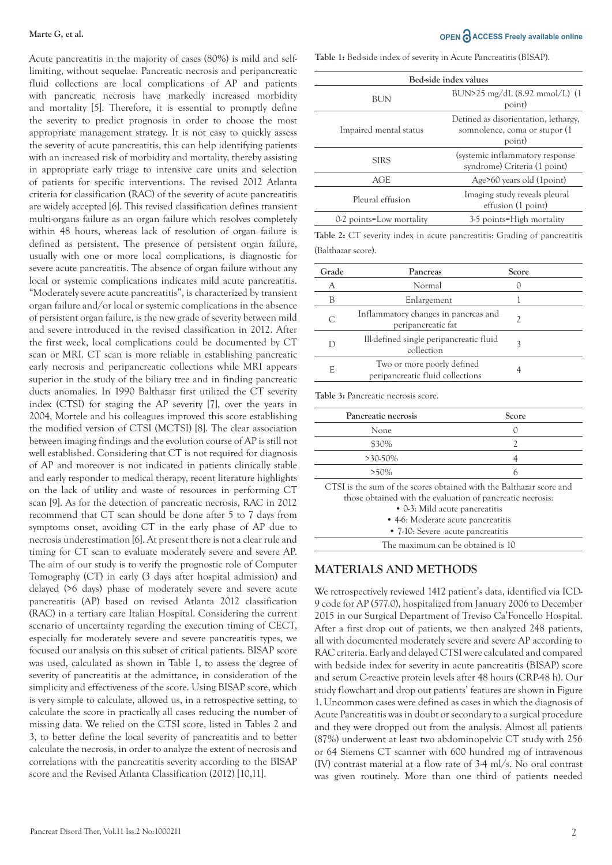Acute pancreatitis in the majority of cases (80%) is mild and selflimiting, without sequelae. Pancreatic necrosis and peripancreatic fluid collections are local complications of AP and patients with pancreatic necrosis have markedly increased morbidity and mortality [5]. Therefore, it is essential to promptly define the severity to predict prognosis in order to choose the most appropriate management strategy. It is not easy to quickly assess the severity of acute pancreatitis, this can help identifying patients with an increased risk of morbidity and mortality, thereby assisting in appropriate early triage to intensive care units and selection of patients for specific interventions. The revised 2012 Atlanta criteria for classification (RAC) of the severity of acute pancreatitis are widely accepted [6]. This revised classification defines transient multi-organs failure as an organ failure which resolves completely within 48 hours, whereas lack of resolution of organ failure is defined as persistent. The presence of persistent organ failure, usually with one or more local complications, is diagnostic for severe acute pancreatitis. The absence of organ failure without any local or systemic complications indicates mild acute pancreatitis. "Moderately severe acute pancreatitis", is characterized by transient organ failure and/or local or systemic complications in the absence of persistent organ failure, is the new grade of severity between mild and severe introduced in the revised classification in 2012. After the first week, local complications could be documented by CT scan or MRI. CT scan is more reliable in establishing pancreatic early necrosis and peripancreatic collections while MRI appears superior in the study of the biliary tree and in finding pancreatic ducts anomalies. In 1990 Balthazar first utilized the CT severity index (CTSI) for staging the AP severity [7], over the years in 2004, Mortele and his colleagues improved this score establishing the modified version of CTSI (MCTSI) [8]. The clear association between imaging findings and the evolution course of AP is still not well established. Considering that CT is not required for diagnosis of AP and moreover is not indicated in patients clinically stable and early responder to medical therapy, recent literature highlights on the lack of utility and waste of resources in performing CT scan [9]. As for the detection of pancreatic necrosis, RAC in 2012 recommend that CT scan should be done after 5 to 7 days from symptoms onset, avoiding CT in the early phase of AP due to necrosis underestimation [6]. At present there is not a clear rule and timing for CT scan to evaluate moderately severe and severe AP. The aim of our study is to verify the prognostic role of Computer Tomography (CT) in early (3 days after hospital admission) and delayed (>6 days) phase of moderately severe and severe acute pancreatitis (AP) based on revised Atlanta 2012 classification (RAC) in a tertiary care Italian Hospital. Considering the current scenario of uncertainty regarding the execution timing of CECT, especially for moderately severe and severe pancreatitis types, we focused our analysis on this subset of critical patients. BISAP score was used, calculated as shown in Table 1, to assess the degree of severity of pancreatitis at the admittance, in consideration of the simplicity and effectiveness of the score. Using BISAP score, which is very simple to calculate, allowed us, in a retrospective setting, to calculate the score in practically all cases reducing the number of missing data. We relied on the CTSI score, listed in Tables 2 and 3, to better define the local severity of pancreatitis and to better calculate the necrosis, in order to analyze the extent of necrosis and correlations with the pancreatitis severity according to the BISAP score and the Revised Atlanta Classification (2012) [10,11].

#### **Marte G, et al. OPEN** and **ACCESS** Freely available online

**Table 1:** Bed-side index of severity in Acute Pancreatitis (BISAP).

| Bed-side index values    |                                                                                  |  |  |  |
|--------------------------|----------------------------------------------------------------------------------|--|--|--|
| BUN                      | BUN>25 mg/dL $(8.92 \text{ mmol/L})$ $(1$<br>point)                              |  |  |  |
| Impaired mental status   | Detined as disorientation, lethargy,<br>somnolence, coma or stupor (1)<br>point) |  |  |  |
| <b>SIRS</b>              | (systemic inflammatory response)<br>syndrome) Criteria (1 point)                 |  |  |  |
| AGE                      | Age>60 years old (1point)                                                        |  |  |  |
| Pleural effusion         | Imaging study reveals pleural<br>effusion (1 point)                              |  |  |  |
| 0-2 points=Low mortality | 3-5 points=High mortality                                                        |  |  |  |

**Table 2:** CT severity index in acute pancreatitis: Grading of pancreatitis (Balthazar score).

| Grade | Pancreas                                                       | Score |  |
|-------|----------------------------------------------------------------|-------|--|
| А     | Normal                                                         |       |  |
| В     | Enlargement                                                    |       |  |
| C     | Inflammatory changes in pancreas and<br>peripancreatic fat     |       |  |
|       | Ill-defined single peripancreatic fluid<br>collection          |       |  |
| E     | Two or more poorly defined<br>peripancreatic fluid collections |       |  |

**Table 3:** Pancreatic necrosis score.

| Pancreatic necrosis                                                                                                              | Score |
|----------------------------------------------------------------------------------------------------------------------------------|-------|
| None                                                                                                                             |       |
| \$30%                                                                                                                            |       |
| $>30.50\%$                                                                                                                       |       |
| $>50\%$                                                                                                                          |       |
| $\overline{\text{OPT}}$ 01 + also considerate considerations of a set of the field of $\overline{\text{D}}$ alternations of also |       |

CTSI is the sum of the scores obtained with the Balthazar score and those obtained with the evaluation of pancreatic necrosis: • 0-3: Mild acute pancreatitis • 4-6: Moderate acute pancreatitis • 7-10: Severe acute pancreatitis

The maximum can be obtained is 10

#### **MATERIALS AND METHODS**

We retrospectively reviewed 1412 patient's data, identified via ICD-9 code for AP (577.0), hospitalized from January 2006 to December 2015 in our Surgical Department of Treviso Ca'Foncello Hospital. After a first drop out of patients, we then analyzed 248 patients, all with documented moderately severe and severe AP according to RAC criteria. Early and delayed CTSI were calculated and compared with bedside index for severity in acute pancreatitis (BISAP) score and serum C-reactive protein levels after 48 hours (CRP-48 h). Our study flowchart and drop out patients' features are shown in Figure 1. Uncommon cases were defined as cases in which the diagnosis of Acute Pancreatitis was in doubt or secondary to a surgical procedure and they were dropped out from the analysis. Almost all patients (87%) underwent at least two abdominopelvic CT study with 256 or 64 Siemens CT scanner with 600 hundred mg of intravenous (IV) contrast material at a flow rate of 3-4 ml/s. No oral contrast was given routinely. More than one third of patients needed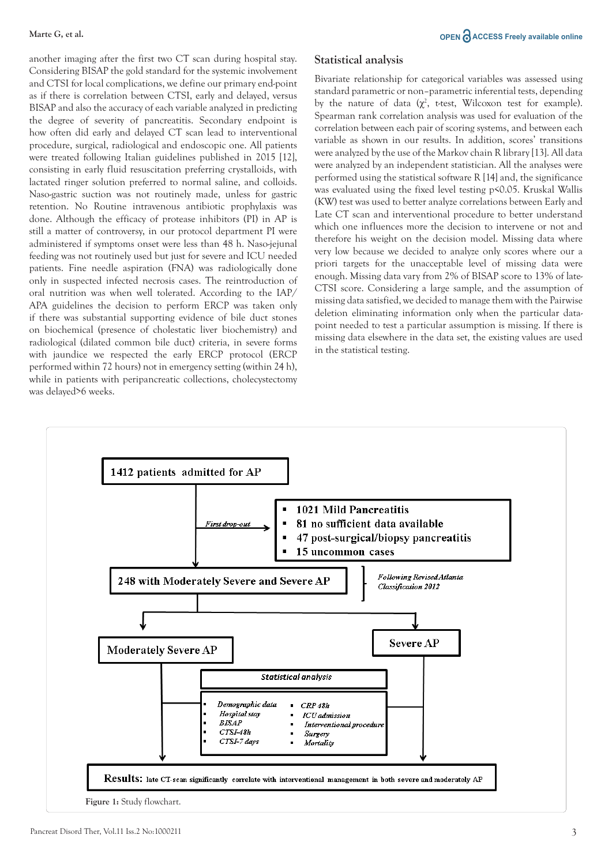another imaging after the first two CT scan during hospital stay. Considering BISAP the gold standard for the systemic involvement and CTSI for local complications, we define our primary end-point as if there is correlation between CTSI, early and delayed, versus BISAP and also the accuracy of each variable analyzed in predicting the degree of severity of pancreatitis. Secondary endpoint is how often did early and delayed CT scan lead to interventional procedure, surgical, radiological and endoscopic one. All patients were treated following Italian guidelines published in 2015 [12], consisting in early fluid resuscitation preferring crystalloids, with lactated ringer solution preferred to normal saline, and colloids. Naso-gastric suction was not routinely made, unless for gastric retention. No Routine intravenous antibiotic prophylaxis was done. Although the efficacy of protease inhibitors (PI) in AP is still a matter of controversy, in our protocol department PI were administered if symptoms onset were less than 48 h. Naso-jejunal feeding was not routinely used but just for severe and ICU needed patients. Fine needle aspiration (FNA) was radiologically done only in suspected infected necrosis cases. The reintroduction of oral nutrition was when well tolerated. According to the IAP/ APA guidelines the decision to perform ERCP was taken only if there was substantial supporting evidence of bile duct stones on biochemical (presence of cholestatic liver biochemistry) and radiological (dilated common bile duct) criteria, in severe forms with jaundice we respected the early ERCP protocol (ERCP performed within 72 hours) not in emergency setting (within 24 h), while in patients with peripancreatic collections, cholecystectomy was delayed>6 weeks.

# **Statistical analysis**

Bivariate relationship for categorical variables was assessed using standard parametric or non–parametric inferential tests, depending by the nature of data  $(\chi^2)$ , t-test, Wilcoxon test for example). Spearman rank correlation analysis was used for evaluation of the correlation between each pair of scoring systems, and between each variable as shown in our results. In addition, scores' transitions were analyzed by the use of the Markov chain R library [13]. All data were analyzed by an independent statistician. All the analyses were performed using the statistical software R [14] and, the significance was evaluated using the fixed level testing p<0.05. Kruskal Wallis (KW) test was used to better analyze correlations between Early and Late CT scan and interventional procedure to better understand which one influences more the decision to intervene or not and therefore his weight on the decision model. Missing data where very low because we decided to analyze only scores where our a priori targets for the unacceptable level of missing data were enough. Missing data vary from 2% of BISAP score to 13% of late-CTSI score. Considering a large sample, and the assumption of missing data satisfied, we decided to manage them with the Pairwise deletion eliminating information only when the particular datapoint needed to test a particular assumption is missing. If there is missing data elsewhere in the data set, the existing values are used in the statistical testing.

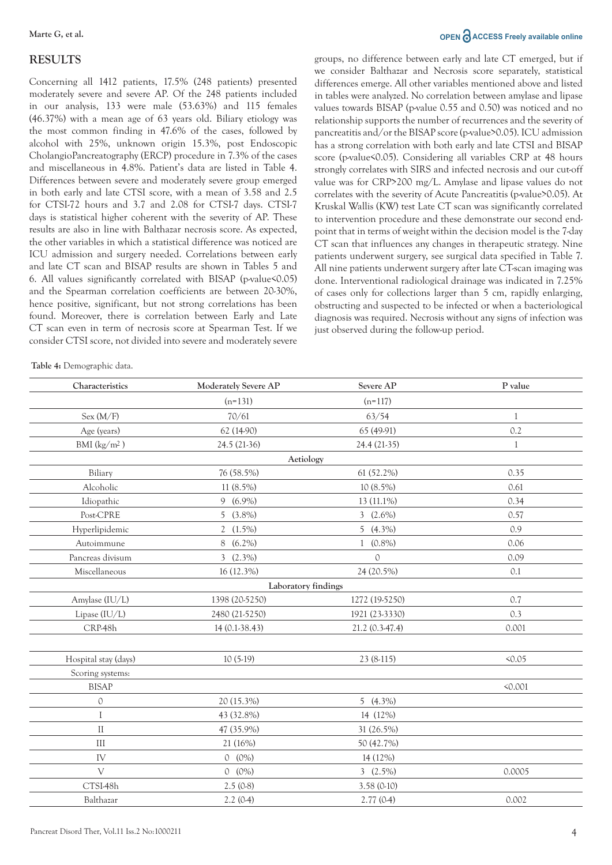#### **RESULTS**

Concerning all 1412 patients, 17.5% (248 patients) presented moderately severe and severe AP. Of the 248 patients included in our analysis, 133 were male (53.63%) and 115 females (46.37%) with a mean age of 63 years old. Biliary etiology was the most common finding in 47.6% of the cases, followed by alcohol with 25%, unknown origin 15.3%, post Endoscopic CholangioPancreatography (ERCP) procedure in 7.3% of the cases and miscellaneous in 4.8%. Patient's data are listed in Table 4. Differences between severe and moderately severe group emerged in both early and late CTSI score, with a mean of 3.58 and 2.5 for CTSI-72 hours and 3.7 and 2.08 for CTSI-7 days. CTSI-7 days is statistical higher coherent with the severity of AP. These results are also in line with Balthazar necrosis score. As expected, the other variables in which a statistical difference was noticed are ICU admission and surgery needed. Correlations between early and late CT scan and BISAP results are shown in Tables 5 and 6. All values significantly correlated with BISAP (p-value<0.05) and the Spearman correlation coefficients are between 20-30%, hence positive, significant, but not strong correlations has been found. Moreover, there is correlation between Early and Late CT scan even in term of necrosis score at Spearman Test. If we consider CTSI score, not divided into severe and moderately severe

**Table 4:** Demographic data.

#### **Marte G, et al. OPEN** and **ACCESS** Freely available online

groups, no difference between early and late CT emerged, but if we consider Balthazar and Necrosis score separately, statistical differences emerge. All other variables mentioned above and listed in tables were analyzed. No correlation between amylase and lipase values towards BISAP (p-value 0.55 and 0.50) was noticed and no relationship supports the number of recurrences and the severity of pancreatitis and/or the BISAP score (p-value>0.05). ICU admission has a strong correlation with both early and late CTSI and BISAP score (p-value<0.05). Considering all variables CRP at 48 hours strongly correlates with SIRS and infected necrosis and our cut-off value was for CRP>200 mg/L. Amylase and lipase values do not correlates with the severity of Acute Pancreatitis (p-value>0.05). At Kruskal Wallis (KW) test Late CT scan was significantly correlated to intervention procedure and these demonstrate our second endpoint that in terms of weight within the decision model is the 7-day CT scan that influences any changes in therapeutic strategy. Nine patients underwent surgery, see surgical data specified in Table 7. All nine patients underwent surgery after late CT-scan imaging was done. Interventional radiological drainage was indicated in 7.25% of cases only for collections larger than 5 cm, rapidly enlarging, obstructing and suspected to be infected or when a bacteriological diagnosis was required. Necrosis without any signs of infection was just observed during the follow-up period.

| Characteristics      | Moderately Severe AP | Severe AP        | P value      |
|----------------------|----------------------|------------------|--------------|
|                      | $(n=131)$            | $(n=117)$        |              |
| Sex (M/F)            | 70/61                | 63/54            | $\mathbf{1}$ |
| Age (years)          | 62 (14-90)           | 65 (49-91)       | 0.2          |
| BMI $(kg/m^2)$       | 24.5 (21-36)         | 24.4 (21-35)     | 1            |
|                      | Aetiology            |                  |              |
| Biliary              | 76 (58.5%)           | 61 (52.2%)       | 0.35         |
| Alcoholic            | 11 (8.5%)            | $10(8.5\%)$      | 0.61         |
| Idiopathic           | $9(6.9\%)$           | $13(11.1\%)$     | 0.34         |
| Post-CPRE            | $5(3.8\%)$           | $3(2.6\%)$       | 0.57         |
| Hyperlipidemic       | 2 $(1.5\%)$          | $5(4.3\%)$       | 0.9          |
| Autoimmune           | 8 (6.2%)             | $1(0.8\%)$       | 0.06         |
| Pancreas divisum     | $3(2.3\%)$           | $\mathcal{O}$    | 0.09         |
| Miscellaneous        | 16 (12.3%)           | 24 (20.5%)       | 0.1          |
|                      | Laboratory findings  |                  |              |
| Amylase (IU/L)       | 1398 (20-5250)       | 1272 (19-5250)   | 0.7          |
| Lipase (IU/L)        | 2480 (21-5250)       | 1921 (23-3330)   | 0.3          |
| CRP-48h              | $14(0.1-38.43)$      | $21.2(0.3-47.4)$ | 0.001        |
|                      |                      |                  |              |
| Hospital stay (days) | $10(5-19)$           | $23(8-115)$      | 50.05        |
| Scoring systems:     |                      |                  |              |
| <b>BISAP</b>         |                      |                  | < 0.001      |
| 0                    | 20 (15.3%)           | 5 $(4.3\%)$      |              |
| I                    | 43 (32.8%)           | 14 (12%)         |              |
| $\mathcal{I}$        | 47 (35.9%)           | 31 (26.5%)       |              |
| III                  | 21 (16%)             | 50 (42.7%)       |              |
| IV                   | $0 (0\%)$            | 14 (12%)         |              |
| $\vee$               | $0 (0\%)$            | 3 $(2.5\%)$      | 0.0005       |
| CTSI-48h             | 2.5(0.8)             | 3.58(0.10)       |              |
| Balthazar            | 2.2(0.4)             | 2.77(0.4)        | 0.002        |
|                      |                      |                  |              |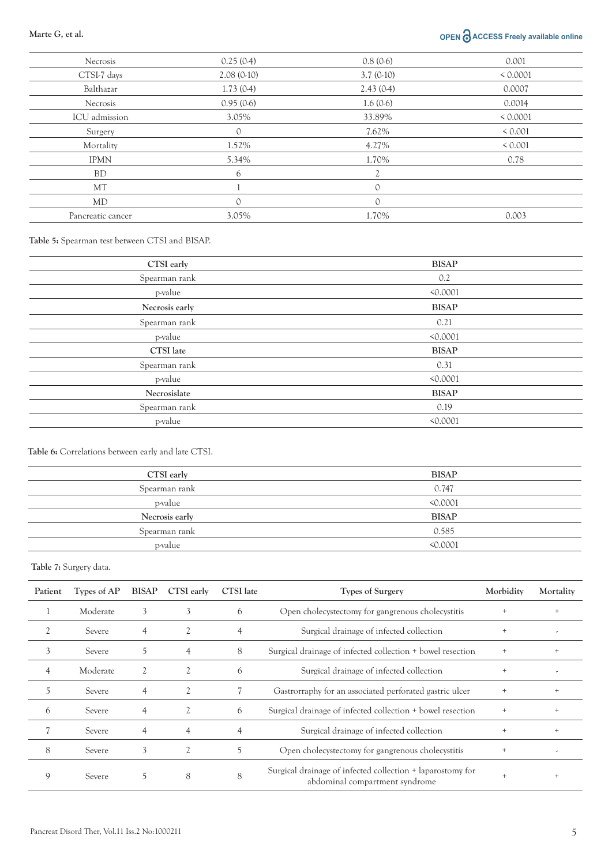# **Marte G, et al. OPEN ACCESS Freely available online**

| <b>Necrosis</b>   | 0.25(0.4)  | 0.8(0.6)    | 0.001    |
|-------------------|------------|-------------|----------|
| CTSI-7 days       | 2.08(0.10) | $3.7(0-10)$ | < 0.0001 |
| Balthazar         | 1.73(0.4)  | 2.43(0.4)   | 0.0007   |
| Necrosis          | 0.95(0.6)  | 1.6(0.6)    | 0.0014   |
| ICU admission     | 3.05%      | 33.89%      | < 0.0001 |
| Surgery           | $\circ$    | 7.62%       | < 0.001  |
| Mortality         | 1.52%      | 4.27%       | < 0.001  |
| <b>IPMN</b>       | 5.34%      | 1.70%       | 0.78     |
| <b>BD</b>         | 6          | 2           |          |
| MT                |            | $\Omega$    |          |
| MD                | $\Omega$   | $\Omega$    |          |
| Pancreatic cancer | 3.05%      | 1.70%       | 0.003    |
|                   |            |             |          |

**Table 5:** Spearman test between CTSI and BISAP.

| CTSI early       | <b>BISAP</b> |
|------------------|--------------|
| Spearman rank    | 0.2          |
| p-value          | < 0.0001     |
| Necrosis early   | <b>BISAP</b> |
| Spearman rank    | 0.21         |
| p-value          | < 0.0001     |
| <b>CTSI</b> late | <b>BISAP</b> |
| Spearman rank    | 0.31         |
| <i>p</i> -value  | < 0.0001     |
| Necrosislate     | <b>BISAP</b> |
| Spearman rank    | 0.19         |
| p-value          | < 0.0001     |

#### **Table 6:** Correlations between early and late CTSI.

| CTSI early     | <b>BISAP</b> |
|----------------|--------------|
| Spearman rank  | 0.747        |
| p-value        | < 0.0001     |
| Necrosis early | <b>BISAP</b> |
| Spearman rank  | 0.585        |
| p-value        | 50.0001      |
|                |              |

**Table 7:** Surgery data.

| Patient | Types of AP | <b>BISAP</b> | CTSI early | <b>CTSI</b> late | Types of Surgery                                                                             |  | Mortality |
|---------|-------------|--------------|------------|------------------|----------------------------------------------------------------------------------------------|--|-----------|
|         | Moderate    |              |            | 6                | Open cholecystectomy for gangrenous cholecystitis                                            |  |           |
|         | Severe      | 4            |            | $\overline{4}$   | Surgical drainage of infected collection                                                     |  |           |
|         | Severe      |              | 4          | 8                | Surgical drainage of infected collection + bowel resection                                   |  |           |
|         | Moderate    |              |            | 6                | Surgical drainage of infected collection                                                     |  |           |
|         | Severe      |              |            |                  | Gastrorraphy for an associated perforated gastric ulcer                                      |  | $^{+}$    |
| 6       | Severe      |              |            | 6                | Surgical drainage of infected collection + bowel resection                                   |  |           |
|         | Severe      |              |            | 4                | Surgical drainage of infected collection                                                     |  | $^{+}$    |
| 8       | Severe      | 3            |            | 5                | Open cholecystectomy for gangrenous cholecystitis                                            |  |           |
| 9       | Severe      | 5            | 8          | 8                | Surgical drainage of infected collection + laparostomy for<br>abdominal compartment syndrome |  |           |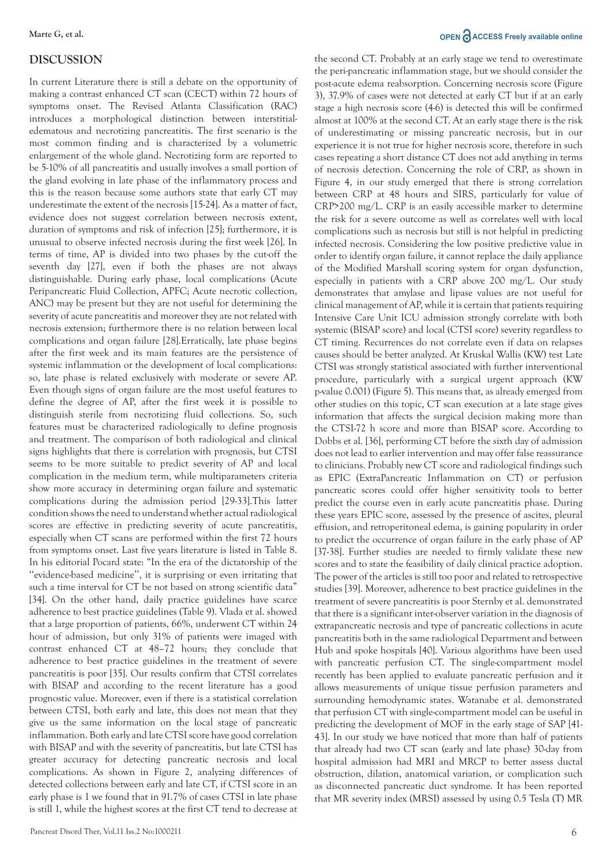#### **DISCUSSION**

In current Literature there is still a debate on the opportunity of making a contrast enhanced CT scan (CECT) within 72 hours of symptoms onset. The Revised Atlanta Classification (RAC) introduces a morphological distinction between interstitialedematous and necrotizing pancreatitis. The first scenario is the most common finding and is characterized by a volumetric enlargement of the whole gland. Necrotizing form are reported to be 5-10% of all pancreatitis and usually involves a small portion of the gland evolving in late phase of the inflammatory process and this is the reason because some authors state that early CT may underestimate the extent of the necrosis [15-24]. As a matter of fact, evidence does not suggest correlation between necrosis extent, duration of symptoms and risk of infection [25]; furthermore, it is unusual to observe infected necrosis during the first week [26]. In terms of time, AP is divided into two phases by the cut-off the seventh day [27], even if both the phases are not always distinguishable. During early phase, local complications (Acute Peripancreatic Fluid Collection, APFC; Acute necrotic collection, ANC) may be present but they are not useful for determining the severity of acute pancreatitis and moreover they are not related with necrosis extension; furthermore there is no relation between local complications and organ failure [28].Erratically, late phase begins after the first week and its main features are the persistence of systemic inflammation or the development of local complications: so, late phase is related exclusively with moderate or severe AP. Even though signs of organ failure are the most useful features to define the degree of AP, after the first week it is possible to distinguish sterile from necrotizing fluid collections. So, such features must be characterized radiologically to define prognosis and treatment. The comparison of both radiological and clinical signs highlights that there is correlation with prognosis, but CTSI seems to be more suitable to predict severity of AP and local complication in the medium term, while multiparameters criteria show more accuracy in determining organ failure and systematic complications during the admission period [29-33].This latter condition shows the need to understand whether actual radiological scores are effective in predicting severity of acute pancreatitis, especially when CT scans are performed within the first 72 hours from symptoms onset. Last five years literature is listed in Table 8. In his editorial Pocard state: "In the era of the dictatorship of the ''evidence-based medicine'', it is surprising or even irritating that such a time interval for CT be not based on strong scientific data" [34]. On the other hand, daily practice guidelines have scarce adherence to best practice guidelines (Table 9). Vlada et al. showed that a large proportion of patients, 66%, underwent CT within 24 hour of admission, but only 31% of patients were imaged with contrast enhanced CT at 48–72 hours; they conclude that adherence to best practice guidelines in the treatment of severe pancreatitis is poor [35]. Our results confirm that CTSI correlates with BISAP and according to the recent literature has a good prognostic value. Moreover, even if there is a statistical correlation between CTSI, both early and late, this does not mean that they give us the same information on the local stage of pancreatic inflammation. Both early and late CTSI score have good correlation with BISAP and with the severity of pancreatitis, but late CTSI has greater accuracy for detecting pancreatic necrosis and local complications. As shown in Figure 2, analyzing differences of detected collections between early and late CT, if CTSI score in an early phase is 1 we found that in 91.7% of cases CTSI in late phase is still 1, while the highest scores at the first CT tend to decrease at

#### **Marte G, et al. OPEN** and **ACCESS** Freely available online

the second CT. Probably at an early stage we tend to overestimate the peri-pancreatic inflammation stage, but we should consider the post-acute edema reabsorption. Concerning necrosis score (Figure 3), 37.9% of cases were not detected at early CT but if at an early stage a high necrosis score (4-6) is detected this will be confirmed almost at 100% at the second CT. At an early stage there is the risk of underestimating or missing pancreatic necrosis, but in our experience it is not true for higher necrosis score, therefore in such cases repeating a short distance CT does not add anything in terms of necrosis detection. Concerning the role of CRP, as shown in Figure 4, in our study emerged that there is strong correlation between CRP at 48 hours and SIRS, particularly for value of CRP>200 mg/L. CRP is an easily accessible marker to determine the risk for a severe outcome as well as correlates well with local complications such as necrosis but still is not helpful in predicting infected necrosis. Considering the low positive predictive value in order to identify organ failure, it cannot replace the daily appliance of the Modified Marshall scoring system for organ dysfunction, especially in patients with a CRP above 200 mg/L. Our study demonstrates that amylase and lipase values are not useful for clinical management of AP, while it is certain that patients requiring Intensive Care Unit ICU admission strongly correlate with both systemic (BISAP score) and local (CTSI score) severity regardless to CT timing. Recurrences do not correlate even if data on relapses causes should be better analyzed. At Kruskal Wallis (KW) test Late CTSI was strongly statistical associated with further interventional procedure, particularly with a surgical urgent approach (KW p-value 0.001) (Figure 5). This means that, as already emerged from other studies on this topic, CT scan execution at a late stage gives information that affects the surgical decision making more than the CTSI-72 h score and more than BISAP score. According to Dobbs et al. [36], performing CT before the sixth day of admission does not lead to earlier intervention and may offer false reassurance to clinicians. Probably new CT score and radiological findings such as EPIC (ExtraPancreatic Inflammation on CT) or perfusion pancreatic scores could offer higher sensitivity tools to better predict the course even in early acute pancreatitis phase. During these years EPIC score, assessed by the presence of ascites, pleural effusion, and retroperitoneal edema, is gaining popularity in order to predict the occurrence of organ failure in the early phase of AP [37-38]. Further studies are needed to firmly validate these new scores and to state the feasibility of daily clinical practice adoption. The power of the articles is still too poor and related to retrospective studies [39]. Moreover, adherence to best practice guidelines in the treatment of severe pancreatitis is poor Sternby et al. demonstrated that there is a significant inter-observer variation in the diagnosis of extrapancreatic necrosis and type of pancreatic collections in acute pancreatitis both in the same radiological Department and between Hub and spoke hospitals [40]. Various algorithms have been used with pancreatic perfusion CT. The single-compartment model recently has been applied to evaluate pancreatic perfusion and it allows measurements of unique tissue perfusion parameters and surrounding hemodynamic states. Watanabe et al. demonstrated that perfusion CT with single-compartment model can be useful in predicting the development of MOF in the early stage of SAP [41- 43]. In our study we have noticed that more than half of patients that already had two CT scan (early and late phase) 30-day from hospital admission had MRI and MRCP to better assess ductal obstruction, dilation, anatomical variation, or complication such as disconnected pancreatic duct syndrome. It has been reported that MR severity index (MRSI) assessed by using 0.5 Tesla (T) MR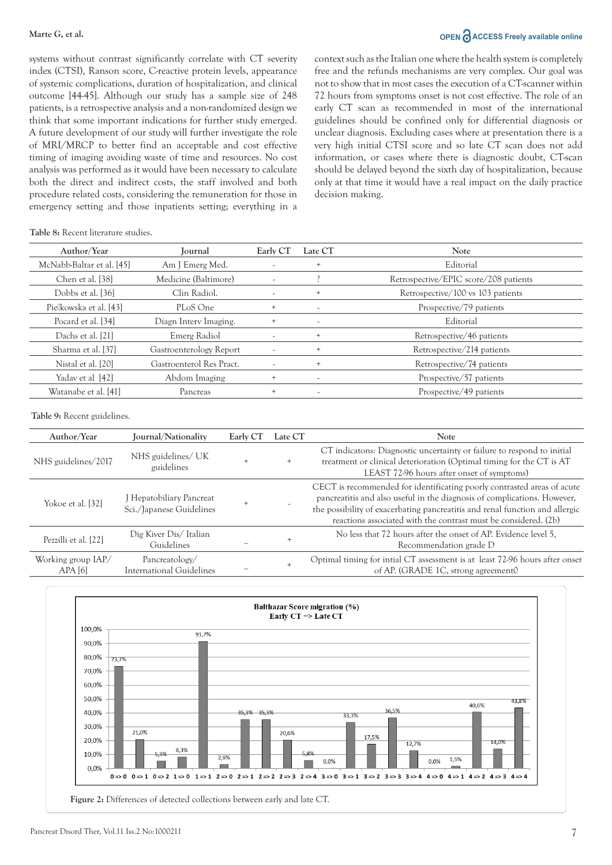#### **Marte G, et al. OPEN**  $\bigcap_{n=1}^{\infty}$  ACCESS Freely available online

systems without contrast significantly correlate with CT severity index (CTSI), Ranson score, C-reactive protein levels, appearance of systemic complications, duration of hospitalization, and clinical outcome [44-45]. Although our study has a sample size of 248 patients, is a retrospective analysis and a non-randomized design we think that some important indications for further study emerged. A future development of our study will further investigate the role of MRI/MRCP to better find an acceptable and cost effective timing of imaging avoiding waste of time and resources. No cost analysis was performed as it would have been necessary to calculate both the direct and indirect costs, the staff involved and both procedure related costs, considering the remuneration for those in emergency setting and those inpatients setting; everything in a context such as the Italian one where the health system is completely free and the refunds mechanisms are very complex. Our goal was not to show that in most cases the execution of a CT-scanner within 72 hours from symptoms onset is not cost effective. The role of an early CT scan as recommended in most of the international guidelines should be confined only for differential diagnosis or unclear diagnosis. Excluding cases where at presentation there is a very high initial CTSI score and so late CT scan does not add information, or cases where there is diagnostic doubt, CT-scan should be delayed beyond the sixth day of hospitalization, because only at that time it would have a real impact on the daily practice decision making.

#### **Table 8:** Recent literature studies.

| Author/Year               | Journal                  | Early CT                 | Late CT                  | <b>Note</b>                           |
|---------------------------|--------------------------|--------------------------|--------------------------|---------------------------------------|
| McNabb-Baltar et al. [45] | Am J Emerg Med.          |                          | $^{+}$                   | Editorial                             |
| Chen et al. [38]          | Medicine (Baltimore)     |                          |                          | Retrospective/EPIC score/208 patients |
| Dobbs et al. [36]         | Clin Radiol.             | $\overline{\phantom{a}}$ | $^{+}$                   | Retrospective/100 vs 103 patients     |
| Pielkowska et al. [43]    | PLoS One                 | $^{+}$                   | ۰.                       | Prospective/79 patients               |
| Pocard et al. [34]        | Diagn Interv Imaging.    | $\ddot{}$                | ۰.                       | Editorial                             |
| Dachs et al. [21]         | Emerg Radiol             | $\overline{\phantom{a}}$ | $^{+}$                   | Retrospective/46 patients             |
| Sharma et al. [37]        | Gastroenterology Report  | $\overline{\phantom{a}}$ | $\pm$                    | Retrospective/214 patients            |
| Nistal et al. [20]        | Gastroenterol Res Pract. |                          |                          | Retrospective/74 patients             |
| Yadav et al [42]          | Abdom Imaging            | $^{+}$                   | $\overline{\phantom{a}}$ | Prospective/57 patients               |
| Watanabe et al. [41]      | Pancreas                 | $^{+}$                   | $\overline{\phantom{a}}$ | Prospective/49 patients               |

**Table 9:** Recent guidelines.

| Author/Year                  | Journal/Nationality                                  | Early CT | Late CT | <b>Note</b>                                                                                                                                                                                                                                                                                            |
|------------------------------|------------------------------------------------------|----------|---------|--------------------------------------------------------------------------------------------------------------------------------------------------------------------------------------------------------------------------------------------------------------------------------------------------------|
| NHS guidelines/2017          | NHS guidelines/ UK<br>guidelines                     |          | $+$     | CT indicatons: Diagnostic uncertainty or failure to respond to initial<br>treatment or clinical deterioration (Optimal timing for the CT is AT<br>LEAST 72-96 hours after onset of symptoms)                                                                                                           |
| Yokoe et al. [32]            | J Hepatobiliary Pancreat<br>Sci./Japanese Guidelines |          |         | CECT is recommended for identificating poorly contrasted areas of acute<br>pancreatitis and also useful in the diagnosis of complications. However,<br>the possibility of exacerbating pancreatitis and renal function and allergic<br>reactions associated with the contrast must be considered. (2b) |
| Pezzilli et al. [22]         | Dig Kiver Dis/Italian<br>Guidelines                  |          |         | No less that 72 hours after the onset of AP. Evidence level 5,<br>Recommendation grade D                                                                                                                                                                                                               |
| Working group IAP/<br>APA[6] | Pancreatology/<br><b>International Guidelines</b>    |          |         | Optimal timing for intial CT assessment is at least 72-96 hours after onset<br>of AP. (GRADE 1C, strong agreement0                                                                                                                                                                                     |

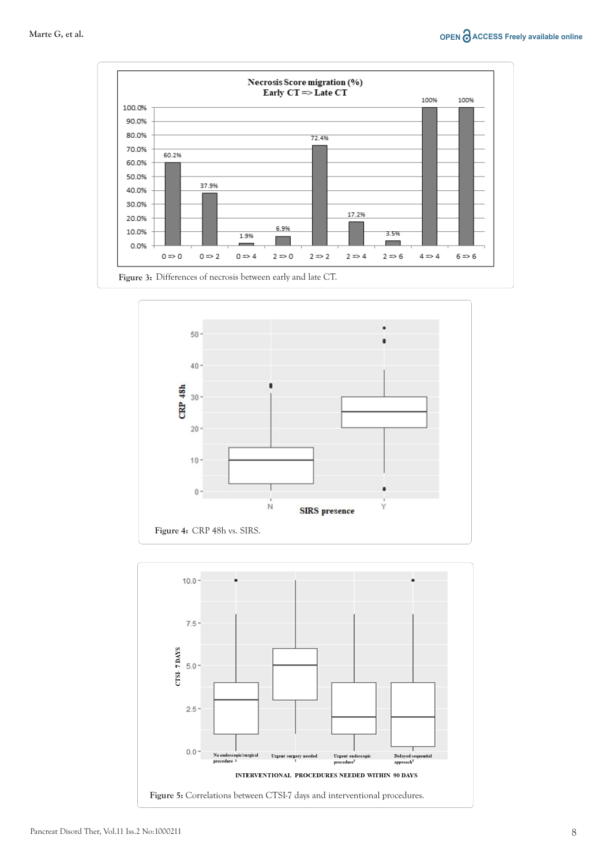



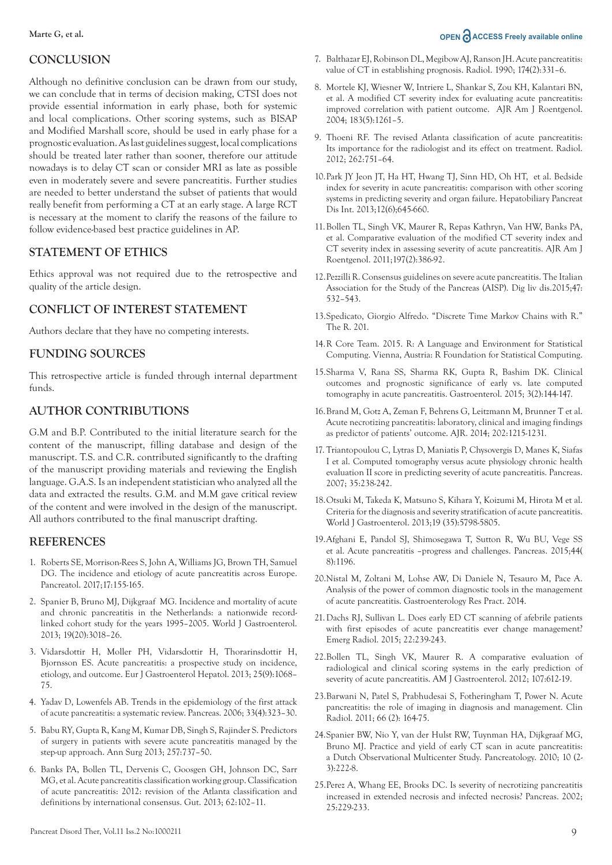#### **CONCLUSION**

Although no definitive conclusion can be drawn from our study, we can conclude that in terms of decision making, CTSI does not provide essential information in early phase, both for systemic and local complications. Other scoring systems, such as BISAP and Modified Marshall score, should be used in early phase for a prognostic evaluation. As last guidelines suggest, local complications should be treated later rather than sooner, therefore our attitude nowadays is to delay CT scan or consider MRI as late as possible even in moderately severe and severe pancreatitis. Further studies are needed to better understand the subset of patients that would really benefit from performing a CT at an early stage. A large RCT is necessary at the moment to clarify the reasons of the failure to follow evidence-based best practice guidelines in AP.

# **STATEMENT OF ETHICS**

Ethics approval was not required due to the retrospective and quality of the article design.

# **CONFLICT OF INTEREST STATEMENT**

Authors declare that they have no competing interests.

#### **FUNDING SOURCES**

This retrospective article is funded through internal department funds.

### **AUTHOR CONTRIBUTIONS**

G.M and B.P. Contributed to the initial literature search for the content of the manuscript, filling database and design of the manuscript. T.S. and C.R. contributed significantly to the drafting of the manuscript providing materials and reviewing the English language. G.A.S. Is an independent statistician who analyzed all the data and extracted the results. G.M. and M.M gave critical review of the content and were involved in the design of the manuscript. All authors contributed to the final manuscript drafting.

#### **REFERENCES**

- 1. [Roberts SE, Morrison-Rees S, John A, Williams JG, Brown TH, Samuel](https://doi.org/10.1016/j.pan.2017.01.005) DG. The incidence and etiology of acute pancreatitis across Europe. Pancreatol. 2017;17:155-165.
- 2. [Spanier B, Bruno MJ, Dijkgraaf MG. Incidence and mortality of acute](https://doi.org/10.3748/wjg.v19.i20.3018)  and chronic pancreatitis in the Netherlands: a nationwide recordlinked cohort study for the years 1995–2005. World J Gastroenterol. 2013; 19(20):3018–26.
- 3. [Vidarsdottir H, Moller PH, Vidarsdottir H, Thorarinsdottir H,](https://doi.org/10.1097/MEG.0b013e3283640fc8) Bjornsson ES. Acute pancreatitis: a prospective study on incidence, etiology, and outcome. Eur J Gastroenterol Hepatol. 2013; 25(9):1068– 75.
- 4. [Yadav D, Lowenfels AB. Trends in the epidemiology of the first attack](https://doi.org/10.1097/01.mpa.0000236733.31617.52)  of acute pancreatitis: a systematic review. Pancreas. 2006; 33(4):323–30.
- 5. Babu RY, Gupta R, Kang M, Kumar DB, Singh S, Rajinder S. Predictors [of surgery in patients with severe acute pancreatitis managed by the](https://doi.org/10.1097/sla.0b013e318269d25d)  step-up approach. Ann Surg 2013; 257:737–50.
- 6. Banks PA, Bollen TL, Dervenis C, Goosgen GH, Johnson DC, Sarr [MG, et al. Acute pancreatitis classification working group. Classification](http://dx.doi.org/10.1136/gutjnl-2012-302779)  of acute pancreatitis: 2012: revision of the Atlanta classification and definitions by international consensus. Gut. 2013; 62:102–11.
- 7. [Balthazar EJ, Robinson DL, Megibow AJ, Ranson JH. Acute pancreatitis:](https://doi.org/10.1148/radiology.174.2.2296641)  value of CT in establishing prognosis. Radiol. 1990; 174(2):331–6.
- 8. [Mortele KJ, Wiesner W, Intriere L, Shankar S, Zou KH, Kalantari BN,](https://doi.org/10.2214/ajr.183.5.1831261)  et al. A modified CT severity index for evaluating acute pancreatitis: improved correlation with patient outcome. AJR Am J Roentgenol. 2004; 183(5):1261–5.
- 9. [Thoeni RF. The revised Atlanta classification of acute pancreatitis:](https://doi.org/10.1148/radiol.11110947)  Its importance for the radiologist and its effect on treatment. Radiol. 2012; 262:751–64.
- 10.[Park JY Jeon JT, Ha HT, Hwang TJ, Sinn HD, Oh HT, et al. Bedside](https://doi.org/10.1016/s1499-3872(13)60101-0)  index for severity in acute pancreatitis: comparison with other scoring systems in predicting severity and organ failure. Hepatobiliary Pancreat Dis Int. 2013;12(6);645-660.
- 11.[Bollen TL, Singh VK, Maurer R, Repas Kathryn, Van HW, Banks PA,](https://doi.org/10.2214/AJR.09.4025)  et al. Comparative evaluation of the modified CT severity index and CT severity index in assessing severity of acute pancreatitis. AJR Am J Roentgenol. 2011;197(2):386-92.
- 12[.Pezzilli R. Consensus guidelines on severe acute pancreatitis. The Italian](https://doi.org/10.1016/j.dld.2015.03.022)  Association for the Study of the Pancreas (AISP). Dig liv dis.2015;47: 532–543.
- 13[.Spedicato, Giorgio Alfredo. "Discrete Time Markov Chains with R."](https://journal.r-project.org/archive/2017/RJ-2017-036/index.html)  The R. 201.
- 14.[R Core Team. 2015. R: A Language and Environment for Statistical](http://www.r-project.org/)  Computing. Vienna, Austria: R Foundation for Statistical Computing.
- 15[.Sharma V, Rana SS, Sharma RK, Gupta R, Bashim DK. Clinical](https://doi.org/10.1093/gastro/gou067)  outcomes and prognostic significance of early vs. late computed tomography in acute pancreatitis. Gastroenterol. 2015; 3(2):144-147.
- 1[6.Brand M, Gotz A, Zeman F, Behrens G, Leitzmann M, Brunner T et al.](https://doi.org/10.2214/AJR.13.10936)  Acute necrotizing pancreatitis: laboratory, clinical and imaging findings as predictor of patients' outcome. AJR. 2014; 202:1215-1231.
- 17. [Triantopoulou C, Lytras D, Maniatis P, Chysovergis D, Manes K, Siafas](https://doi.org/10.1097/MPA.0b013e3180619662)  I et al. Computed tomography versus acute physiology chronic health evaluation II score in predicting severity of acute pancreatitis. Pancreas. 2007; 35:238-242.
- 18[.Otsuki M, Takeda K, Matsuno S, Kihara Y, Koizumi M, Hirota M et al.](https://doi.org/10.3748/wjg.v19.i35.5798)  Criteria for the diagnosis and severity stratification of acute pancreatitis. World J Gastroenterol. 2013;19 (35):5798-5805.
- 19.[Afghani E, Pandol SJ, Shimosegawa T, Sutton R, Wu BU, Vege SS](https://doi.org/10.1097/MPA.0000000000000500)  et al. Acute pancreatitis –progress and challenges. Pancreas. 2015;44( 8):1196.
- 20.[Nistal M, Zoltani M, Lohse AW, Di Daniele N, Tesauro M, Pace A.](https://doi.org/10.1155/2014/438697)  Analysis of the power of common diagnostic tools in the management of acute pancreatitis. Gastroenterology Res Pract. 2014.
- 21.Dachs RJ, Sullivan L. Does early ED CT scanning of afebrile patients with first episodes of acute pancreatitis ever change management? Emerg Radiol. 2015; 22:239-243.
- 22.[Bollen TL, Singh VK, Maurer R. A comparative evaluation of](https://doi.org/10.1038/ajg.2011.438)  radiological and clinical scoring systems in the early prediction of severity of acute pancreatitis. AM J Gastroenterol. 2012; 107:612-19.
- 23.Barwani N, Patel S, Prabhudesai S, Fotheringham T, Power N. Acute pancreatitis: the role of imaging in diagnosis and management. Clin Radiol. 2011; 66 (2): 164-75.
- 24.Spanier BW, Nio Y, van der Hulst RW, Tuynman HA, Dijkgraaf MG, [Bruno MJ. Practice and yield of early CT scan in acute pancreatitis:](https://doi.org/10.1159/000243731)  a Dutch Observational Multicenter Study. Pancreatology. 2010; 10 (2- 3):222-8.
- 25[.Perez A, Whang EE, Brooks DC. Is severity of necrotizing pancreatitis](https://doi.org/10.1097/00006676-200210000-00003)  increased in extended necrosis and infected necrosis? Pancreas. 2002; 25:229-233.